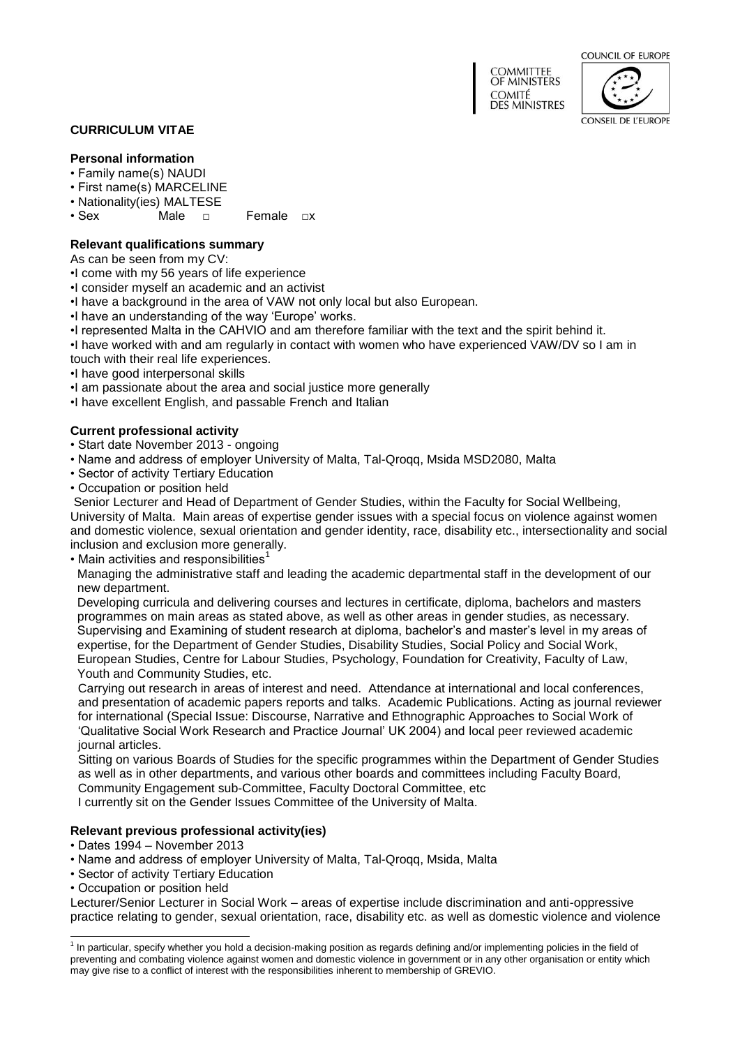COUNCIL OF EUROPE





## **CURRICULUM VITAE**

# **Personal information**

- Family name(s) NAUDI
- First name(s) MARCELINE
- Nationality(ies) MALTESE<br>• Sex Male n
- Female □ x

# **Relevant qualifications summary**

As can be seen from my CV:

- •I come with my 56 years of life experience
- •I consider myself an academic and an activist
- •I have a background in the area of VAW not only local but also European.
- •I have an understanding of the way 'Europe' works.
- •I represented Malta in the CAHVIO and am therefore familiar with the text and the spirit behind it.

•I have worked with and am regularly in contact with women who have experienced VAW/DV so I am in touch with their real life experiences.

- •I have good interpersonal skills
- •I am passionate about the area and social justice more generally
- •I have excellent English, and passable French and Italian

## **Current professional activity**

- Start date November 2013 ongoing
- Name and address of employer University of Malta, Tal-Qroqq, Msida MSD2080, Malta
- Sector of activity Tertiary Education
- Occupation or position held

Senior Lecturer and Head of Department of Gender Studies, within the Faculty for Social Wellbeing, University of Malta. Main areas of expertise gender issues with a special focus on violence against women and domestic violence, sexual orientation and gender identity, race, disability etc., intersectionality and social inclusion and exclusion more generally.

• Main activities and responsibilities $<sup>1</sup>$ </sup>

Managing the administrative staff and leading the academic departmental staff in the development of our new department.

Developing curricula and delivering courses and lectures in certificate, diploma, bachelors and masters programmes on main areas as stated above, as well as other areas in gender studies, as necessary. Supervising and Examining of student research at diploma, bachelor's and master's level in my areas of expertise, for the Department of Gender Studies, Disability Studies, Social Policy and Social Work, European Studies, Centre for Labour Studies, Psychology, Foundation for Creativity, Faculty of Law, Youth and Community Studies, etc.

Carrying out research in areas of interest and need. Attendance at international and local conferences, and presentation of academic papers reports and talks. Academic Publications. Acting as journal reviewer for international (Special Issue: Discourse, Narrative and Ethnographic Approaches to Social Work of 'Qualitative Social Work Research and Practice Journal' UK 2004) and local peer reviewed academic journal articles.

Sitting on various Boards of Studies for the specific programmes within the Department of Gender Studies as well as in other departments, and various other boards and committees including Faculty Board, Community Engagement sub-Committee, Faculty Doctoral Committee, etc I currently sit on the Gender Issues Committee of the University of Malta.

# **Relevant previous professional activity(ies)**

- Dates 1994 November 2013
- Name and address of employer University of Malta, Tal-Qroqq, Msida, Malta
- Sector of activity Tertiary Education
- Occupation or position held

Lecturer/Senior Lecturer in Social Work – areas of expertise include discrimination and anti-oppressive practice relating to gender, sexual orientation, race, disability etc. as well as domestic violence and violence

 1 In particular, specify whether you hold a decision-making position as regards defining and/or implementing policies in the field of preventing and combating violence against women and domestic violence in government or in any other organisation or entity which may give rise to a conflict of interest with the responsibilities inherent to membership of GREVIO.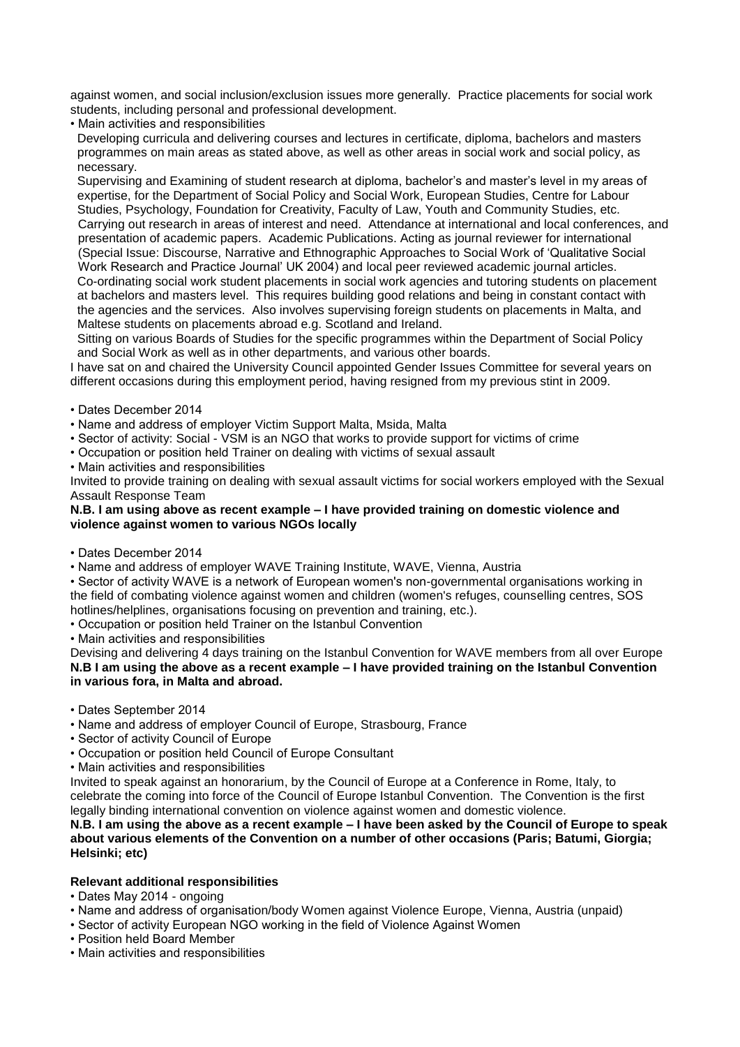against women, and social inclusion/exclusion issues more generally. Practice placements for social work students, including personal and professional development.

• Main activities and responsibilities

Developing curricula and delivering courses and lectures in certificate, diploma, bachelors and masters programmes on main areas as stated above, as well as other areas in social work and social policy, as necessary.

Supervising and Examining of student research at diploma, bachelor's and master's level in my areas of expertise, for the Department of Social Policy and Social Work, European Studies, Centre for Labour Studies, Psychology, Foundation for Creativity, Faculty of Law, Youth and Community Studies, etc. Carrying out research in areas of interest and need. Attendance at international and local conferences, and presentation of academic papers. Academic Publications. Acting as journal reviewer for international (Special Issue: Discourse, Narrative and Ethnographic Approaches to Social Work of 'Qualitative Social Work Research and Practice Journal' UK 2004) and local peer reviewed academic journal articles. Co-ordinating social work student placements in social work agencies and tutoring students on placement at bachelors and masters level. This requires building good relations and being in constant contact with the agencies and the services. Also involves supervising foreign students on placements in Malta, and Maltese students on placements abroad e.g. Scotland and Ireland.

Sitting on various Boards of Studies for the specific programmes within the Department of Social Policy and Social Work as well as in other departments, and various other boards.

I have sat on and chaired the University Council appointed Gender Issues Committee for several years on different occasions during this employment period, having resigned from my previous stint in 2009.

• Dates December 2014

• Name and address of employer Victim Support Malta, Msida, Malta

- Sector of activity: Social VSM is an NGO that works to provide support for victims of crime
- Occupation or position held Trainer on dealing with victims of sexual assault
- Main activities and responsibilities

Invited to provide training on dealing with sexual assault victims for social workers employed with the Sexual Assault Response Team

#### **N.B. I am using above as recent example – I have provided training on domestic violence and violence against women to various NGOs locally**

- Dates December 2014
- Name and address of employer WAVE Training Institute, WAVE, Vienna, Austria

• Sector of activity WAVE is a network of European women's non-governmental organisations working in the field of combating violence against women and children (women's refuges, counselling centres, SOS hotlines/helplines, organisations focusing on prevention and training, etc.).

• Occupation or position held Trainer on the Istanbul Convention

• Main activities and responsibilities

Devising and delivering 4 days training on the Istanbul Convention for WAVE members from all over Europe **N.B I am using the above as a recent example – I have provided training on the Istanbul Convention in various fora, in Malta and abroad.**

• Dates September 2014

- Name and address of employer Council of Europe, Strasbourg, France
- Sector of activity Council of Europe
- Occupation or position held Council of Europe Consultant
- Main activities and responsibilities

Invited to speak against an honorarium, by the Council of Europe at a Conference in Rome, Italy, to celebrate the coming into force of the Council of Europe Istanbul Convention. The Convention is the first legally binding international convention on violence against women and domestic violence.

# **N.B. I am using the above as a recent example – I have been asked by the Council of Europe to speak about various elements of the Convention on a number of other occasions (Paris; Batumi, Giorgia; Helsinki; etc)**

# **Relevant additional responsibilities**

- Dates May 2014 ongoing
- Name and address of organisation/body Women against Violence Europe, Vienna, Austria (unpaid)
- Sector of activity European NGO working in the field of Violence Against Women
- Position held Board Member
- Main activities and responsibilities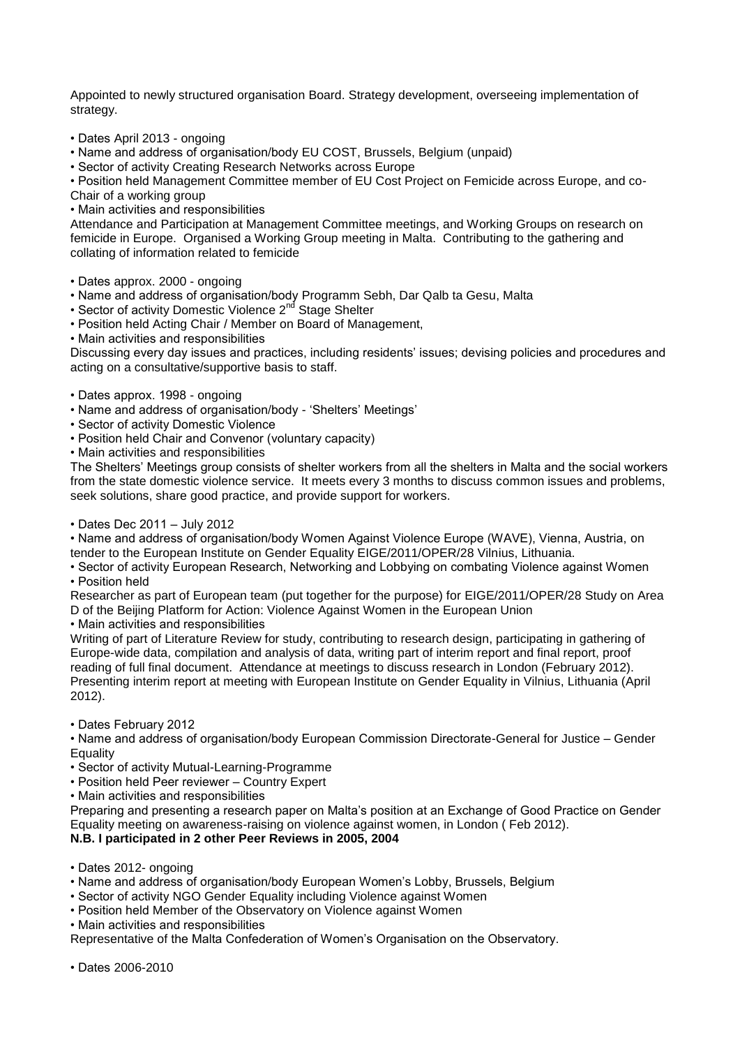Appointed to newly structured organisation Board. Strategy development, overseeing implementation of strategy.

• Dates April 2013 - ongoing

• Name and address of organisation/body EU COST, Brussels, Belgium (unpaid)

• Sector of activity Creating Research Networks across Europe

• Position held Management Committee member of EU Cost Project on Femicide across Europe, and co-Chair of a working group

• Main activities and responsibilities

Attendance and Participation at Management Committee meetings, and Working Groups on research on femicide in Europe. Organised a Working Group meeting in Malta. Contributing to the gathering and collating of information related to femicide

- Dates approx. 2000 ongoing
- Name and address of organisation/body Programm Sebh, Dar Qalb ta Gesu, Malta
- Sector of activity Domestic Violence 2<sup>nd</sup> Stage Shelter

• Position held Acting Chair / Member on Board of Management,

• Main activities and responsibilities

Discussing every day issues and practices, including residents' issues; devising policies and procedures and acting on a consultative/supportive basis to staff.

- Dates approx. 1998 ongoing
- Name and address of organisation/body 'Shelters' Meetings'
- Sector of activity Domestic Violence
- Position held Chair and Convenor (voluntary capacity)
- Main activities and responsibilities

The Shelters' Meetings group consists of shelter workers from all the shelters in Malta and the social workers from the state domestic violence service. It meets every 3 months to discuss common issues and problems, seek solutions, share good practice, and provide support for workers.

• Dates Dec 2011 – July 2012

• Name and address of organisation/body Women Against Violence Europe (WAVE), Vienna, Austria, on tender to the European Institute on Gender Equality EIGE/2011/OPER/28 Vilnius, Lithuania.

• Sector of activity European Research, Networking and Lobbying on combating Violence against Women • Position held

Researcher as part of European team (put together for the purpose) for EIGE/2011/OPER/28 Study on Area D of the Beijing Platform for Action: Violence Against Women in the European Union

• Main activities and responsibilities

Writing of part of Literature Review for study, contributing to research design, participating in gathering of Europe-wide data, compilation and analysis of data, writing part of interim report and final report, proof reading of full final document. Attendance at meetings to discuss research in London (February 2012). Presenting interim report at meeting with European Institute on Gender Equality in Vilnius, Lithuania (April 2012).

• Dates February 2012

• Name and address of organisation/body European Commission Directorate-General for Justice – Gender Equality

- Sector of activity Mutual-Learning-Programme
- Position held Peer reviewer Country Expert
- Main activities and responsibilities

Preparing and presenting a research paper on Malta's position at an Exchange of Good Practice on Gender Equality meeting on awareness-raising on violence against women, in London ( Feb 2012). **N.B. I participated in 2 other Peer Reviews in 2005, 2004**

• Dates 2012- ongoing

- Name and address of organisation/body European Women's Lobby, Brussels, Belgium
- Sector of activity NGO Gender Equality including Violence against Women
- Position held Member of the Observatory on Violence against Women
- Main activities and responsibilities

Representative of the Malta Confederation of Women's Organisation on the Observatory.

• Dates 2006-2010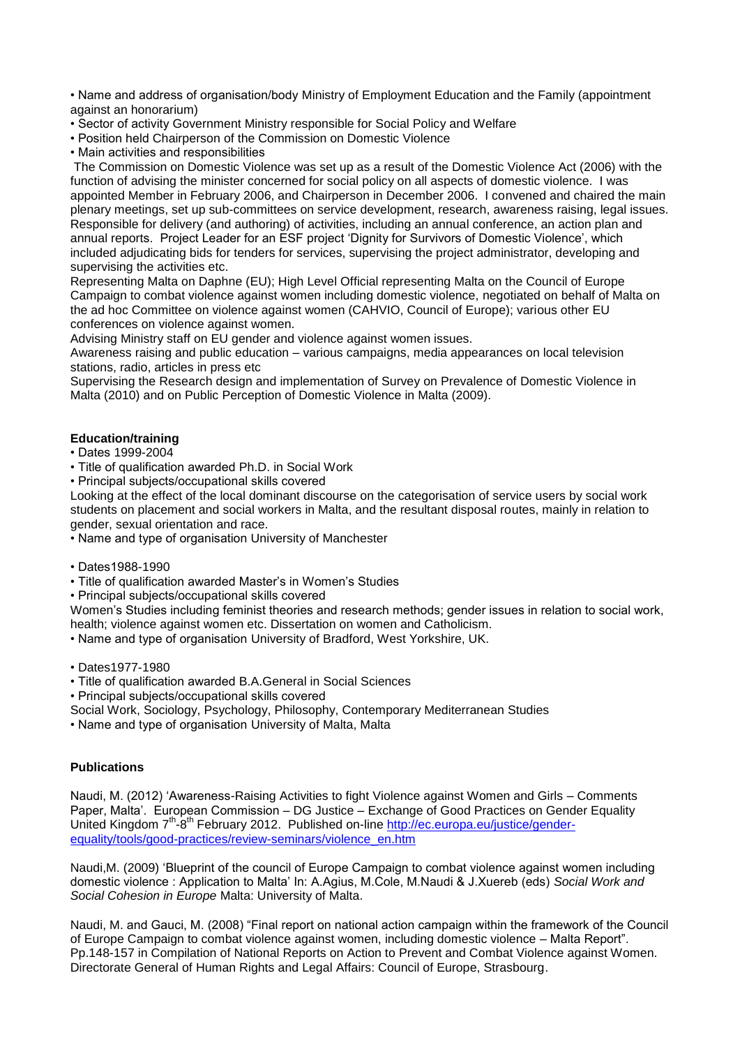• Name and address of organisation/body Ministry of Employment Education and the Family (appointment against an honorarium)

- Sector of activity Government Ministry responsible for Social Policy and Welfare
- Position held Chairperson of the Commission on Domestic Violence
- Main activities and responsibilities

The Commission on Domestic Violence was set up as a result of the Domestic Violence Act (2006) with the function of advising the minister concerned for social policy on all aspects of domestic violence. I was appointed Member in February 2006, and Chairperson in December 2006. I convened and chaired the main plenary meetings, set up sub-committees on service development, research, awareness raising, legal issues. Responsible for delivery (and authoring) of activities, including an annual conference, an action plan and annual reports. Project Leader for an ESF project 'Dignity for Survivors of Domestic Violence', which included adjudicating bids for tenders for services, supervising the project administrator, developing and supervising the activities etc.

Representing Malta on Daphne (EU); High Level Official representing Malta on the Council of Europe Campaign to combat violence against women including domestic violence, negotiated on behalf of Malta on the ad hoc Committee on violence against women (CAHVIO, Council of Europe); various other EU conferences on violence against women.

Advising Ministry staff on EU gender and violence against women issues.

Awareness raising and public education – various campaigns, media appearances on local television stations, radio, articles in press etc

Supervising the Research design and implementation of Survey on Prevalence of Domestic Violence in Malta (2010) and on Public Perception of Domestic Violence in Malta (2009).

## **Education/training**

## • Dates 1999-2004

• Title of qualification awarded Ph.D. in Social Work

• Principal subjects/occupational skills covered

Looking at the effect of the local dominant discourse on the categorisation of service users by social work students on placement and social workers in Malta, and the resultant disposal routes, mainly in relation to gender, sexual orientation and race.

• Name and type of organisation University of Manchester

- Dates1988-1990
- Title of qualification awarded Master's in Women's Studies

• Principal subjects/occupational skills covered

Women's Studies including feminist theories and research methods; gender issues in relation to social work, health; violence against women etc. Dissertation on women and Catholicism.

• Name and type of organisation University of Bradford, West Yorkshire, UK.

• Dates1977-1980

- Title of qualification awarded B.A.General in Social Sciences
- Principal subjects/occupational skills covered
- Social Work, Sociology, Psychology, Philosophy, Contemporary Mediterranean Studies
- Name and type of organisation University of Malta, Malta

# **Publications**

Naudi, M. (2012) 'Awareness-Raising Activities to fight Violence against Women and Girls – Comments Paper, Malta'. European Commission – DG Justice – Exchange of Good Practices on Gender Equality United Kingdom 7<sup>th</sup>-8<sup>th</sup> February 2012. Published on-line [http://ec.europa.eu/justice/gender](http://ec.europa.eu/justice/gender-equality/tools/good-practices/review-seminars/violence_en.htm)[equality/tools/good-practices/review-seminars/violence\\_en.htm](http://ec.europa.eu/justice/gender-equality/tools/good-practices/review-seminars/violence_en.htm)

Naudi,M. (2009) 'Blueprint of the council of Europe Campaign to combat violence against women including domestic violence : Application to Malta' In: A.Agius, M.Cole, M.Naudi & J.Xuereb (eds) *Social Work and Social Cohesion in Europe* Malta: University of Malta.

Naudi, M. and Gauci, M. (2008) "Final report on national action campaign within the framework of the Council of Europe Campaign to combat violence against women, including domestic violence – Malta Report". Pp.148-157 in Compilation of National Reports on Action to Prevent and Combat Violence against Women. Directorate General of Human Rights and Legal Affairs: Council of Europe, Strasbourg.